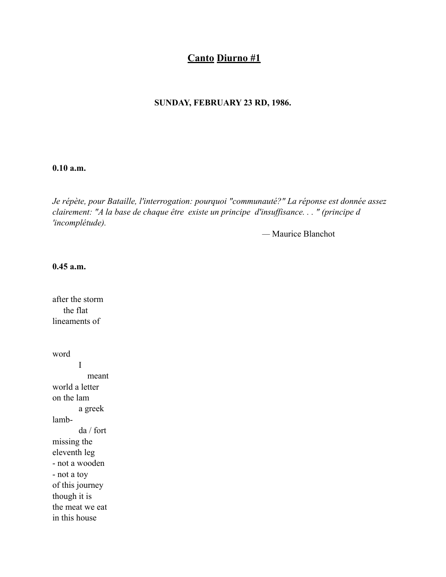# **Canto Diurno #1**

## **SUNDAY, FEBRUARY 23 RD, 1986.**

#### **0.10 a.m.**

*Je répète, pour Bataille, l'interrogation: pourquoi "communauté?" La réponse est donnée assez clairement: "A la base de chaque être existe un principe d'insuffisance. . . " (principe d 'incomplétude).*

*—* Maurice Blanchot

## **0.45 a.m.**

after the storm the flat lineaments of

word I meant world a letter on the lam a greek lambda / fort missing the eleventh leg - not a wooden - not a toy of this journey though it is the meat we eat in this house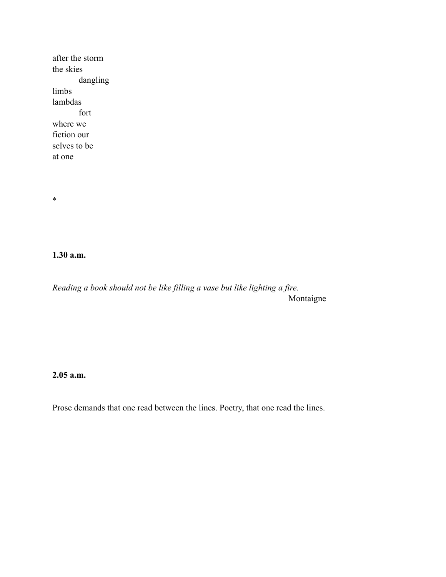after the storm the skies dangling limbs lambdas fort where we fiction our selves to be at one

\*

**1.30 a.m.**

*Reading a book should not be like filling a vase but like lighting a fire.* Montaigne

**2.05 a.m.**

Prose demands that one read between the lines. Poetry, that one read the lines.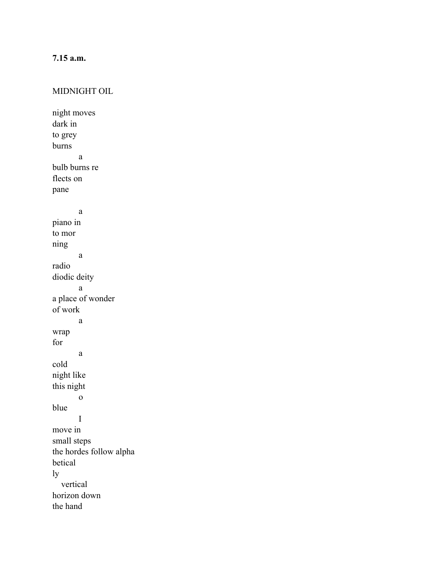# **7.15 a.m.**

#### MIDNIGHT OIL

night moves dark in to grey burns a bulb burns re flects on pane a piano in to mor ning a radio diodic deity a a place of wonder of work a wrap for a cold night like this night o blue I move in small steps the hordes follow alpha betical ly vertical horizon down the hand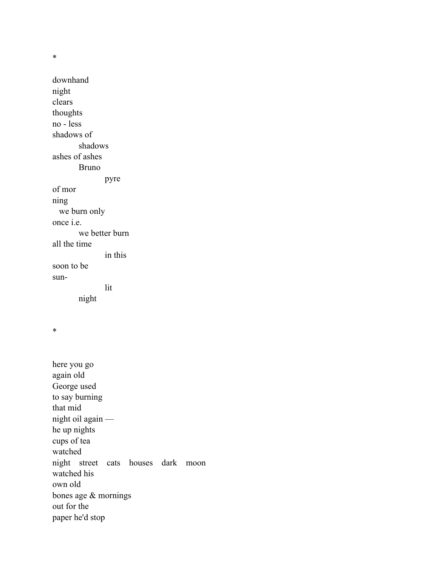\*

downhand night clears thoughts no - less shadows of shadows ashes of ashes Bruno pyre of mor ning we burn only once i.e. we better burn all the time in this soon to be sunlit night

\*

here you go again old George used to say burning that mid night oil again he up nights cups of tea watched night street cats houses dark moon watched his own old bones age & mornings out for the paper he'd stop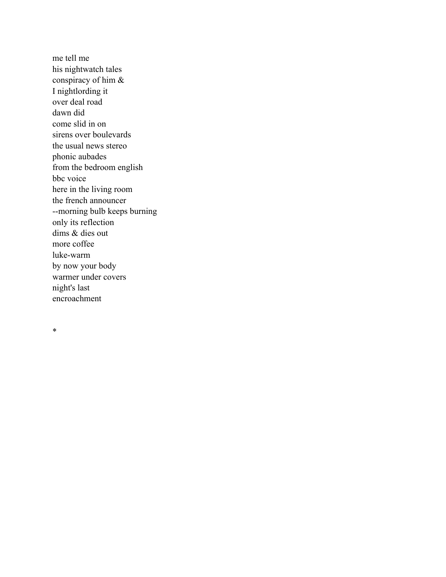me tell me his nightwatch tales conspiracy of him & I nightlording it over deal road dawn did come slid in on sirens over boulevards the usual news stereo phonic aubades from the bedroom english bbc voice here in the living room the french announcer --morning bulb keeps burning only its reflection dims & dies out more coffee luke-warm by now your body warmer under covers night's last encroachment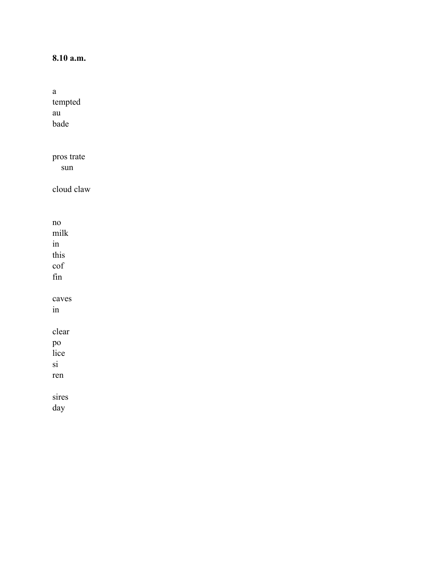# 8.10 a.m.

| а          |  |
|------------|--|
| tempted    |  |
| au         |  |
| bade       |  |
|            |  |
|            |  |
| pros trate |  |
| sun        |  |
| cloud claw |  |
|            |  |
|            |  |
| no         |  |
| milk       |  |
| in         |  |
| this       |  |
| $\cot$     |  |
| fin        |  |
|            |  |
| caves      |  |
| in         |  |
|            |  |
| clear      |  |
| po<br>lice |  |
|            |  |
| si         |  |
| ren        |  |
| sires      |  |
| day        |  |
|            |  |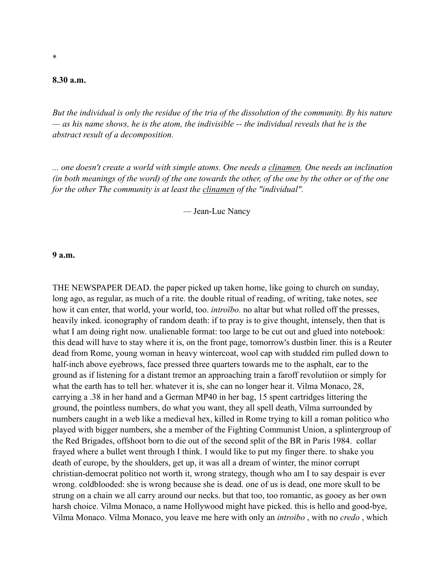### **8.30 a.m.**

*But the individual is only the residue of the tria of the dissolution of the community. By his nature — as his name shows, he is the atom, the indivisible -- the individual reveals that he is the abstract result of a decomposition.*

*... one doesn't create a world with simple atoms. One needs a clinamen. One needs an inclination (in both meanings of the word) of the one towards the other, of the one by the other or of the one for the other The community is at least the clinamen of the "individual".*

*—* Jean-Luc Nancy

**9 a.m.**

THE NEWSPAPER DEAD. the paper picked up taken home, like going to church on sunday, long ago, as regular, as much of a rite. the double ritual of reading, of writing, take notes, see how it can enter, that world, your world, too. *introïbo.* no altar but what rolled off the presses, heavily inked. iconography of random death: if to pray is to give thought, intensely, then that is what I am doing right now. unalienable format: too large to be cut out and glued into notebook: this dead will have to stay where it is, on the front page, tomorrow's dustbin liner. this is a Reuter dead from Rome, young woman in heavy wintercoat, wool cap with studded rim pulled down to half-inch above eyebrows, face pressed three quarters towards me to the asphalt, ear to the ground as if listening for a distant tremor an approaching train a faroff revolutiion or simply for what the earth has to tell her. whatever it is, she can no longer hear it. Vilma Monaco, 28, carrying a .38 in her hand and a German MP40 in her bag, 15 spent cartridges littering the ground, the pointless numbers, do what you want, they all spell death, Vilma surrounded by numbers caught in a web like a medieval hex, killed in Rome trying to kill a roman politico who played with bigger numbers, she a member of the Fighting Communist Union, a splintergroup of the Red Brigades, offshoot born to die out of the second split of the BR in Paris 1984. collar frayed where a bullet went through I think. I would like to put my finger there. to shake you death of europe, by the shoulders, get up, it was all a dream of winter, the minor corrupt christian-democrat politico not worth it, wrong strategy, though who am I to say despair is ever wrong. coldblooded: she is wrong because she is dead. one of us is dead, one more skull to be strung on a chain we all carry around our necks. but that too, too romantic, as gooey as her own harsh choice. Vilma Monaco, a name Hollywood might have picked. this is hello and good-bye, Vilma Monaco. Vilma Monaco, you leave me here with only an *introibo* , with no *credo* , which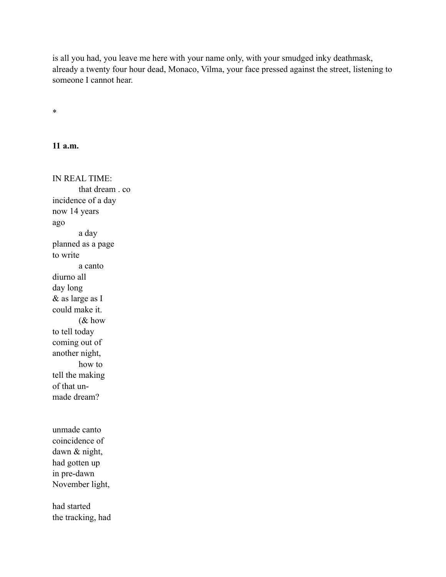is all you had, you leave me here with your name only, with your smudged inky deathmask, already a twenty four hour dead, Monaco, Vilma, your face pressed against the street, listening to someone I cannot hear.

\*

**11 a.m.**

IN REAL TIME: that dream . co incidence of a day now 14 years ago a day planned as a page to write a canto diurno all day long & as large as I could make it. (& how to tell today coming out of another night, how to tell the making of that unmade dream? unmade canto coincidence of dawn & night, had gotten up in pre-dawn November light, had started

the tracking, had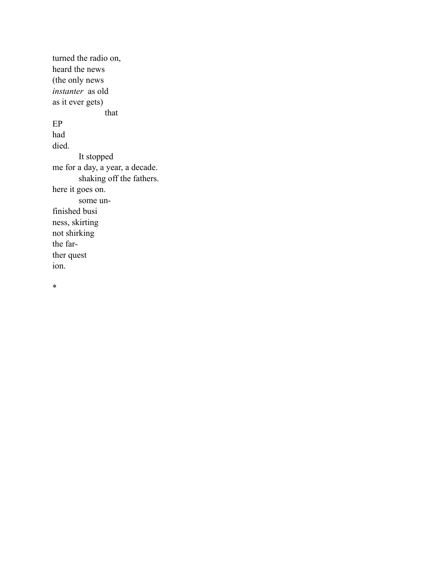turned the radio on, heard the news (the only news *instanter* as old as it ever gets) that EP had died. It stopped me for a day, a year, a decade. shaking off the fathers. here it goes on. some unfinished busi ness, skirting not shirking the farther quest ion.

\*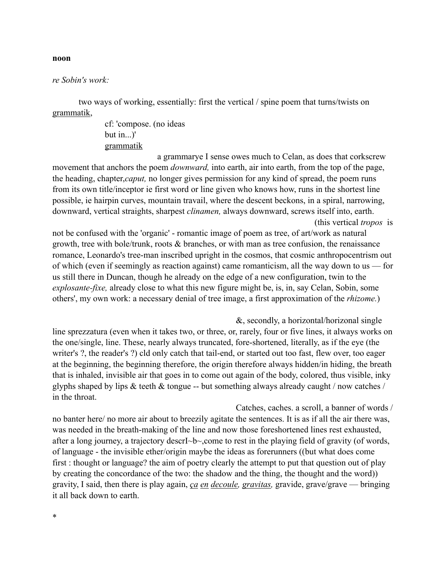## *re Sobin's work:*

two ways of working, essentially: first the vertical / spine poem that turns/twists on grammatik,

> cf: 'compose. (no ideas but in...)' grammatik

a grammarye I sense owes much to Celan, as does that corkscrew movement that anchors the poem *downward,* into earth, air into earth, from the top of the page, the heading, chapter,*caput,* no longer gives permission for any kind of spread, the poem runs from its own title/inceptor ie first word or line given who knows how, runs in the shortest line possible, ie hairpin curves, mountain travail, where the descent beckons, in a spiral, narrowing, downward, vertical straights, sharpest *clinamen,* always downward, screws itself into, earth. (this vertical *tropos* is

not be confused with the 'organic' - romantic image of poem as tree, of art/work as natural growth, tree with bole/trunk, roots & branches, or with man as tree confusion, the renaissance romance, Leonardo's tree-man inscribed upright in the cosmos, that cosmic anthropocentrism out of which (even if seemingly as reaction against) came romanticism, all the way down to us — for us still there in Duncan, though he already on the edge of a new configuration, twin to the *explosante-fixe,* already close to what this new figure might be, is, in, say Celan, Sobin, some others', my own work: a necessary denial of tree image, a first approximation of the *rhizome.*)

&, secondly, a horizontal/horizonal single line sprezzatura (even when it takes two, or three, or, rarely, four or five lines, it always works on the one/single, line. These, nearly always truncated, fore-shortened, literally, as if the eye (the writer's ?, the reader's ?) cld only catch that tail-end, or started out too fast, flew over, too eager at the beginning, the beginning therefore, the origin therefore always hidden/in hiding, the breath that is inhaled, invisible air that goes in to come out again of the body, colored, thus visible, inky glyphs shaped by lips  $\&$  teeth  $\&$  tongue -- but something always already caught / now catches / in the throat.

Catches, caches. a scroll, a banner of words / no banter here/ no more air about to breezily agitate the sentences. It is as if all the air there was, was needed in the breath-making of the line and now those foreshortened lines rest exhausted, after a long journey, a trajectory descrI~b~,come to rest in the playing field of gravity (of words, of language - the invisible ether/origin maybe the ideas as forerunners ((but what does come first : thought or language? the aim of poetry clearly the attempt to put that question out of play by creating the concordance of the two: the shadow and the thing, the thought and the word)) gravity, I said, then there is play again, *ça en decoule, gravitas,* gravide, grave/grave — bringing it all back down to earth.

#### **noon**

\*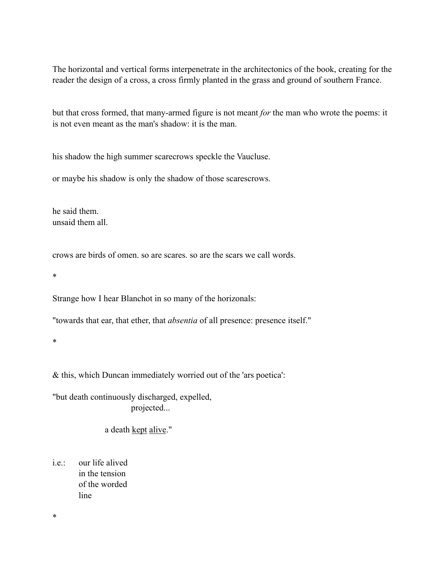The horizontal and vertical forms interpenetrate in the architectonics of the book, creating for the reader the design of a cross, a cross firmly planted in the grass and ground of southern France.

but that cross formed, that many-armed figure is not meant *for* the man who wrote the poems: it is not even meant as the man's shadow: it is the man.

his shadow the high summer scarecrows speckle the Vaucluse.

or maybe his shadow is only the shadow of those scarescrows.

he said them. unsaid them all.

crows are birds of omen. so are scares. so are the scars we call words.

\*

Strange how I hear Blanchot in so many of the horizonals:

"towards that ear, that ether, that *absentia* of all presence: presence itself."

\*

& this, which Duncan immediately worried out of the 'ars poetica':

"but death continuously discharged, expelled, projected...

a death kept alive."

i.e.: our life alived in the tension of the worded line

\*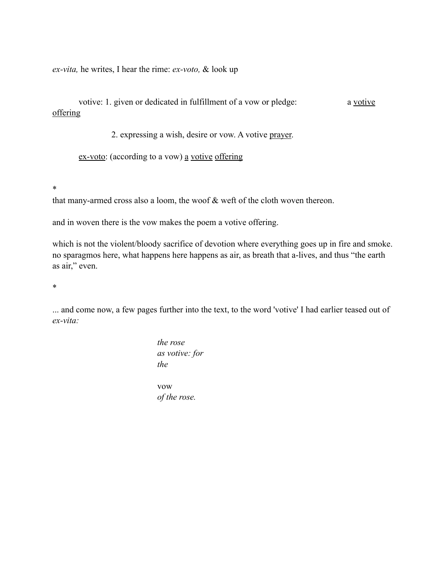*ex-vita,* he writes, I hear the rime: *ex-voto,* & look up

votive: 1. given or dedicated in fulfillment of a vow or pledge: a votive offering

2. expressing a wish, desire or vow. A votive prayer.

ex-voto: (according to a vow) <u>a votive</u> offering

\*

that many-armed cross also a loom, the woof & weft of the cloth woven thereon.

and in woven there is the vow makes the poem a votive offering.

which is not the violent/bloody sacrifice of devotion where everything goes up in fire and smoke. no sparagmos here, what happens here happens as air, as breath that a-lives, and thus "the earth as air," even.

\*

... and come now, a few pages further into the text, to the word 'votive' I had earlier teased out of *ex-vita:*

> *the rose as votive: for the* vow *of the rose.*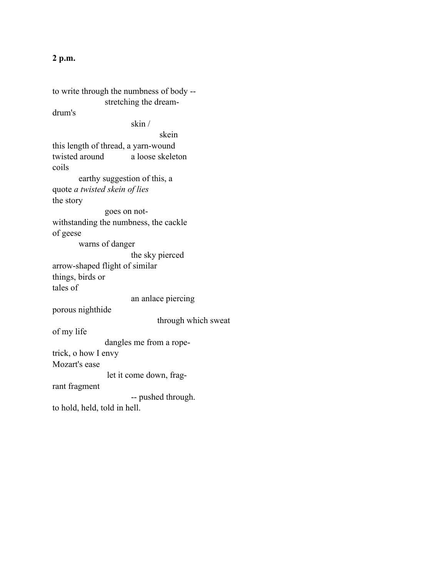## **2 p.m.**

to write through the numbness of body - stretching the dreamdrum's skin / skein this length of thread, a yarn-wound twisted around a loose skeleton coils earthy suggestion of this, a quote *a twisted skein of lies* the story goes on notwithstanding the numbness, the cackle of geese warns of danger the sky pierced arrow-shaped flight of similar things, birds or tales of an anlace piercing porous nighthide through which sweat of my life dangles me from a ropetrick, o how I envy Mozart's ease let it come down, fragrant fragment -- pushed through. to hold, held, told in hell.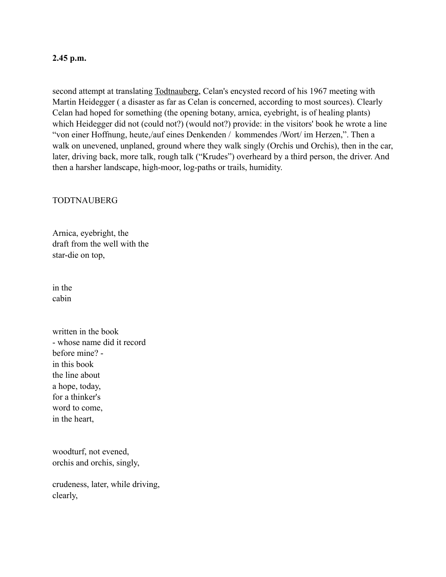## **2.45 p.m.**

second attempt at translating Todtnauberg, Celan's encysted record of his 1967 meeting with Martin Heidegger ( a disaster as far as Celan is concerned, according to most sources). Clearly Celan had hoped for something (the opening botany, arnica, eyebright, is of healing plants) which Heidegger did not (could not?) (would not?) provide: in the visitors' book he wrote a line "von einer Hoffnung, heute,/auf eines Denkenden / kommendes /Wort/ im Herzen,". Then a walk on unevened, unplaned, ground where they walk singly (Orchis und Orchis), then in the car, later, driving back, more talk, rough talk ("Krudes") overheard by a third person, the driver. And then a harsher landscape, high-moor, log-paths or trails, humidity.

## TODTNAUBERG

Arnica, eyebright, the draft from the well with the star-die on top,

in the cabin

written in the book - whose name did it record before mine? in this book the line about a hope, today, for a thinker's word to come, in the heart,

woodturf, not evened, orchis and orchis, singly,

crudeness, later, while driving, clearly,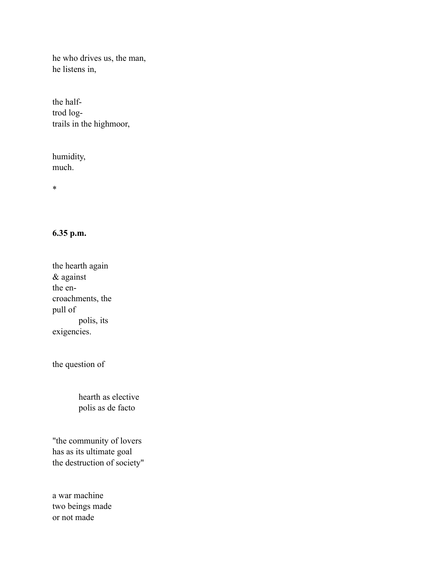he who drives us, the man, he listens in,

the halftrod logtrails in the highmoor,

humidity, much.

\*

## **6.35 p.m.**

the hearth again & against the encroachments, the pull of polis, its exigencies.

the question of

hearth as elective polis as de facto

"the community of lovers has as its ultimate goal the destruction of society"

a war machine two beings made or not made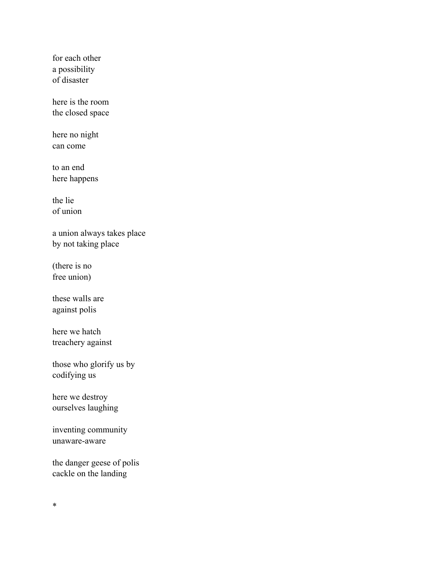for each other a possibility of disaster

here is the room the closed space

here no night can come

to an end here happens

the lie of union

a union always takes place by not taking place

(there is no free union)

these walls are against polis

here we hatch treachery against

those who glorify us by codifying us

here we destroy ourselves laughing

inventing community unaware-aware

the danger geese of polis cackle on the landing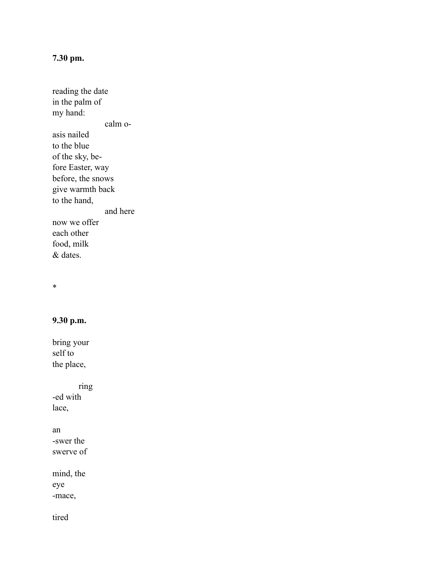# **7.30 pm.**

reading the date in the palm of my hand: calm oasis nailed to the blue of the sky, before Easter, way before, the snows give warmth back to the hand, and here now we offer each other food, milk & dates.

\*

# **9.30 p.m.**

bring your self to the place,

ring -ed with lace,

an -swer the swerve of

mind, the eye -mace,

tired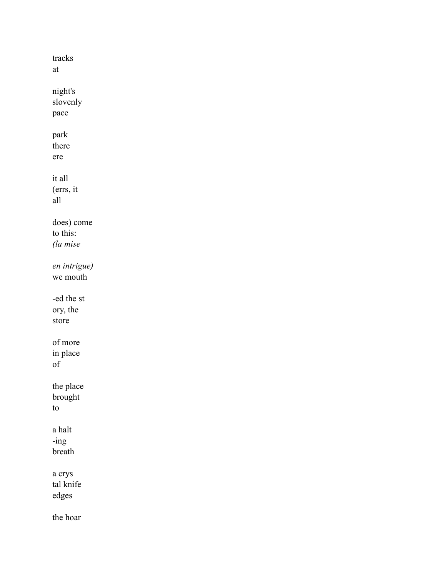tracks  $at$ night's slovenly pace park there ere it all  $(ers, it)$  $all$ does) come to this: (la mise en intrigue) we mouth -ed the st ory, the store of more in place  $of$ the place brought to  $\mathbf a$  halt  $-$ ing breath a crys tal knife edges the hoar